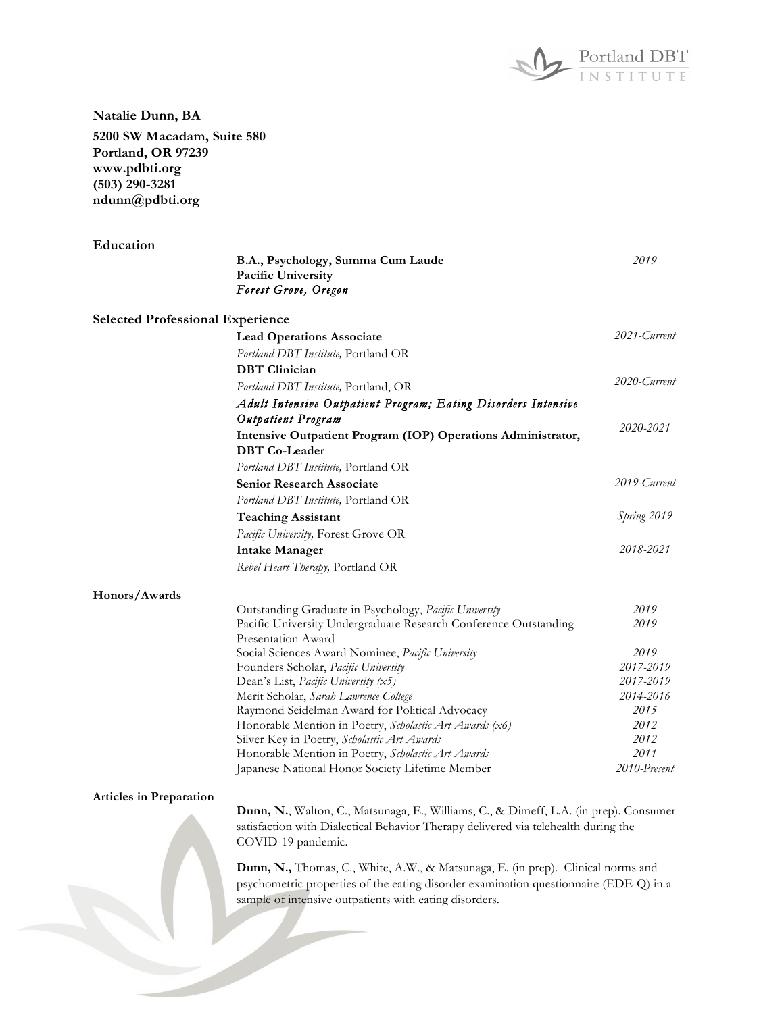

**Natalie Dunn, BA**

**5200 SW Macadam, Suite 580 Portland, OR 97239 www.pdbti.org (503) 290-3281 ndunn@pdbti.org**

| Education                               |                                                                                         |                        |
|-----------------------------------------|-----------------------------------------------------------------------------------------|------------------------|
|                                         | B.A., Psychology, Summa Cum Laude<br>Pacific University                                 | 2019                   |
|                                         | Forest Grove, Oregon                                                                    |                        |
| <b>Selected Professional Experience</b> |                                                                                         |                        |
|                                         | <b>Lead Operations Associate</b>                                                        | 2021-Current           |
|                                         | Portland DBT Institute, Portland OR                                                     |                        |
|                                         | <b>DBT</b> Clinician                                                                    |                        |
|                                         | Portland DBT Institute, Portland, OR                                                    | 2020-Current           |
|                                         | Adult Intensive Outpatient Program; Eating Disorders Intensive                          |                        |
|                                         | Outpatient Program                                                                      |                        |
|                                         | Intensive Outpatient Program (IOP) Operations Administrator,<br><b>DBT</b> Co-Leader    | 2020-2021              |
|                                         | Portland DBT Institute, Portland OR                                                     |                        |
|                                         | <b>Senior Research Associate</b>                                                        | 2019-Current           |
|                                         | Portland DBT Institute, Portland OR                                                     |                        |
|                                         | <b>Teaching Assistant</b>                                                               | Spring 2019            |
|                                         | Pacific University, Forest Grove OR                                                     |                        |
|                                         | <b>Intake Manager</b>                                                                   | 2018-2021              |
|                                         | Rebel Heart Therapy, Portland OR                                                        |                        |
|                                         |                                                                                         |                        |
| Honors/Awards                           |                                                                                         |                        |
|                                         | Outstanding Graduate in Psychology, Pacific University                                  | 2019                   |
|                                         | Pacific University Undergraduate Research Conference Outstanding                        | 2019                   |
|                                         | Presentation Award                                                                      |                        |
|                                         | Social Sciences Award Nominee, Pacific University                                       | 2019                   |
|                                         | Founders Scholar, Pacific University                                                    | 2017-2019              |
|                                         | Dean's List, Pacific University $(x5)$                                                  | 2017-2019<br>2014-2016 |
|                                         | Merit Scholar, Sarah Lawrence College<br>Raymond Seidelman Award for Political Advocacy | 2015                   |
|                                         | Honorable Mention in Poetry, Scholastic Art Awards (x6)                                 | 2012                   |
|                                         | Silver Key in Poetry, Scholastic Art Awards                                             | 2012                   |
|                                         | Honorable Mention in Poetry, Scholastic Art Awards                                      | 2011                   |
|                                         | Japanese National Honor Society Lifetime Member                                         | 2010-Present           |
|                                         |                                                                                         |                        |
| <b>Articles in Preparation</b>          |                                                                                         |                        |
|                                         | Dunn, N., Walton, C., Matsunaga, E., Williams, C., & Dimeff, L.A. (in prep). Consumer   |                        |
|                                         | satisfaction with Dialectical Behavior Therapy delivered via telehealth during the      |                        |
|                                         | COVID-19 pandemic.                                                                      |                        |
|                                         | Dunn, N., Thomas, C., White, A.W., & Matsunaga, E. (in prep). Clinical norms and        |                        |
|                                         | psychometric properties of the eating disorder examination questionnaire (EDE-Q) in a   |                        |
|                                         | sample of intensive outpatients with eating disorders.                                  |                        |
|                                         |                                                                                         |                        |
|                                         |                                                                                         |                        |
|                                         |                                                                                         |                        |
|                                         |                                                                                         |                        |
|                                         |                                                                                         |                        |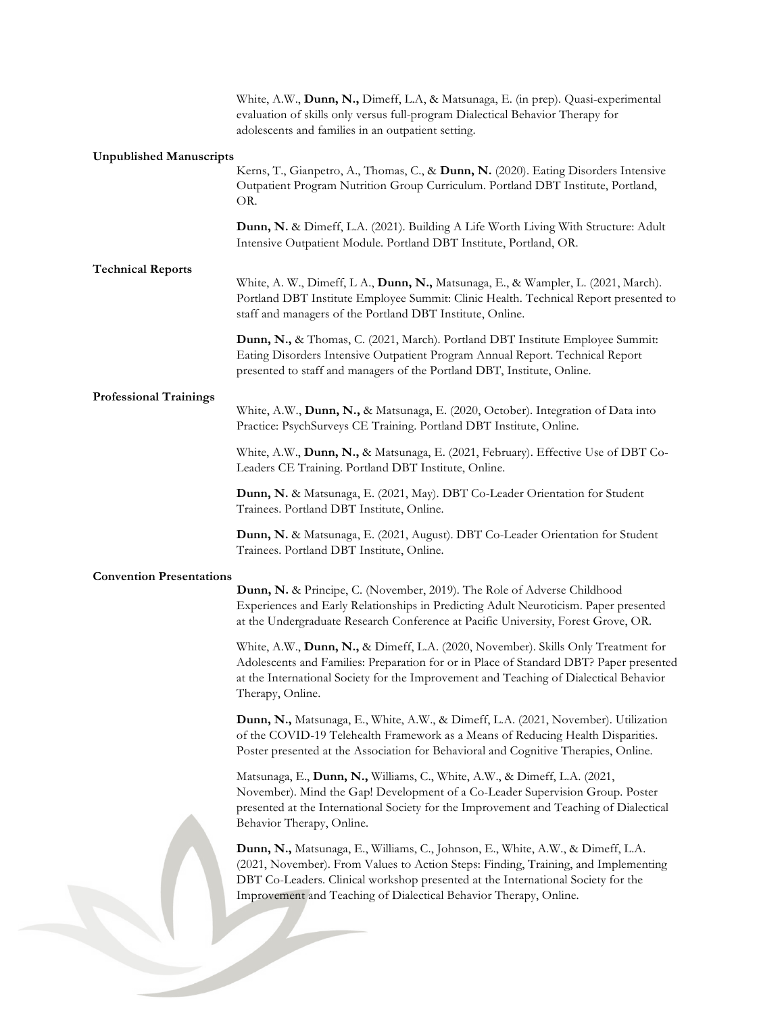|                                 | White, A.W., Dunn, N., Dimeff, L.A, & Matsunaga, E. (in prep). Quasi-experimental<br>evaluation of skills only versus full-program Dialectical Behavior Therapy for<br>adolescents and families in an outpatient setting.                                                                                                      |
|---------------------------------|--------------------------------------------------------------------------------------------------------------------------------------------------------------------------------------------------------------------------------------------------------------------------------------------------------------------------------|
| <b>Unpublished Manuscripts</b>  | Kerns, T., Gianpetro, A., Thomas, C., & Dunn, N. (2020). Eating Disorders Intensive<br>Outpatient Program Nutrition Group Curriculum. Portland DBT Institute, Portland,<br>OR.                                                                                                                                                 |
|                                 | Dunn, N. & Dimeff, L.A. (2021). Building A Life Worth Living With Structure: Adult<br>Intensive Outpatient Module. Portland DBT Institute, Portland, OR.                                                                                                                                                                       |
| <b>Technical Reports</b>        | White, A. W., Dimeff, L. A., Dunn, N., Matsunaga, E., & Wampler, L. (2021, March).<br>Portland DBT Institute Employee Summit: Clinic Health. Technical Report presented to<br>staff and managers of the Portland DBT Institute, Online.                                                                                        |
|                                 | Dunn, N., & Thomas, C. (2021, March). Portland DBT Institute Employee Summit:<br>Eating Disorders Intensive Outpatient Program Annual Report. Technical Report<br>presented to staff and managers of the Portland DBT, Institute, Online.                                                                                      |
| <b>Professional Trainings</b>   | White, A.W., Dunn, N., & Matsunaga, E. (2020, October). Integration of Data into<br>Practice: PsychSurveys CE Training. Portland DBT Institute, Online.                                                                                                                                                                        |
|                                 | White, A.W., Dunn, N., & Matsunaga, E. (2021, February). Effective Use of DBT Co-<br>Leaders CE Training. Portland DBT Institute, Online.                                                                                                                                                                                      |
|                                 | Dunn, N. & Matsunaga, E. (2021, May). DBT Co-Leader Orientation for Student<br>Trainees. Portland DBT Institute, Online.                                                                                                                                                                                                       |
|                                 | Dunn, N. & Matsunaga, E. (2021, August). DBT Co-Leader Orientation for Student<br>Trainees. Portland DBT Institute, Online.                                                                                                                                                                                                    |
| <b>Convention Presentations</b> | Dunn, N. & Principe, C. (November, 2019). The Role of Adverse Childhood<br>Experiences and Early Relationships in Predicting Adult Neuroticism. Paper presented<br>at the Undergraduate Research Conference at Pacific University, Forest Grove, OR.                                                                           |
|                                 | White, A.W., Dunn, N., & Dimeff, L.A. (2020, November). Skills Only Treatment for<br>Adolescents and Families: Preparation for or in Place of Standard DBT? Paper presented<br>at the International Society for the Improvement and Teaching of Dialectical Behavior<br>Therapy, Online.                                       |
|                                 | Dunn, N., Matsunaga, E., White, A.W., & Dimeff, L.A. (2021, November). Utilization<br>of the COVID-19 Telehealth Framework as a Means of Reducing Health Disparities.<br>Poster presented at the Association for Behavioral and Cognitive Therapies, Online.                                                                   |
|                                 | Matsunaga, E., Dunn, N., Williams, C., White, A.W., & Dimeff, L.A. (2021,<br>November). Mind the Gap! Development of a Co-Leader Supervision Group. Poster<br>presented at the International Society for the Improvement and Teaching of Dialectical<br>Behavior Therapy, Online.                                              |
|                                 | Dunn, N., Matsunaga, E., Williams, C., Johnson, E., White, A.W., & Dimeff, L.A.<br>(2021, November). From Values to Action Steps: Finding, Training, and Implementing<br>DBT Co-Leaders. Clinical workshop presented at the International Society for the<br>Improvement and Teaching of Dialectical Behavior Therapy, Online. |
|                                 |                                                                                                                                                                                                                                                                                                                                |